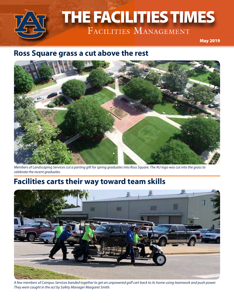

# THE FACILITIES TIMES THE FACILITIES TIMES

**December 2019** 

#### **Ross Square grass a cut above the rest**



*Members of Landscaping Services cut a parting gift for spring graduates into Ross Square. The AU logo was cut into the grass to celebrate the recent graduates.*

#### **Facilities carts their way toward team skills**



*A few members of Campus Services banded together to get an unpowered golf cart back to its home using teamwork and push power. They were caught in the act by Safety Manager Margaret Smith.*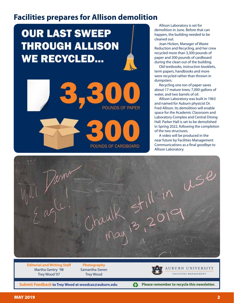#### **Facilities prepares for Allison demolition**

### **OUR LAST SWEEP THROUGH ALLISON WE RECYCLED...**



Allison Laboratory is set for demolition in June. Before that can happen, the building needed to be cleaned out.

Joan Hicken, Manager of Waste Reduction and Recycling, and her crew recycled more than 3,300 pounds of paper and 300 pounds of cardboard during the clean out of the building.

Old textbooks, instruction booklets, term papers, handbooks and more were recycled rather than thrown in dumpsters.

Recycling one ton of paper saves about 17 mature trees; 7,000 gallons of water, and two barrels of oil.

Allison Laboratory was built in 1963 and named for Auburn physicist Dr. Fred Allison. Its demolition will enable space for the Academic Classroom and Laboratory Complex and Central Dining Hall. Parker Hall is set to be demolished in Spring 2022, following the completion of the two structures.

A video will be produced in the near future by Facilities Management Communications as a final goodbye to Allison Laboratory.



**Editorial and Writing Staff** Martha Gentry '98 Trey Wood '07

**Photography** Samantha Sieren Trey Wood



FACILITIES MANAGEMENT

**Submit Feedback to Trey Wood at woodcas@auburn.edu**

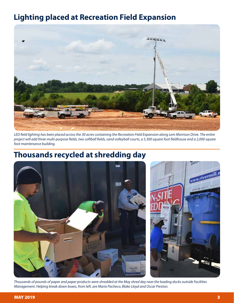#### **Lighting placed at Recreation Field Expansion**



*LED field lighting has been placed across the 30 acres containing the Recreation Field Expansion along Lem Morrison Drive. The entire project will add three multi-purpose fields, two softball fields, sand volleyball courts, a 5,300 square foot fieldhouse and a 2,000 square foot maintenance building.*

#### **Thousands recycled at shredding day**





*Thousands of pounds of paper and paper products were shredded at the May shred day near the loading docks outside Facilities Management. Helping break down boxes, from left, are Mario Pacheco, Blake Lloyd and Oscar Preston.*